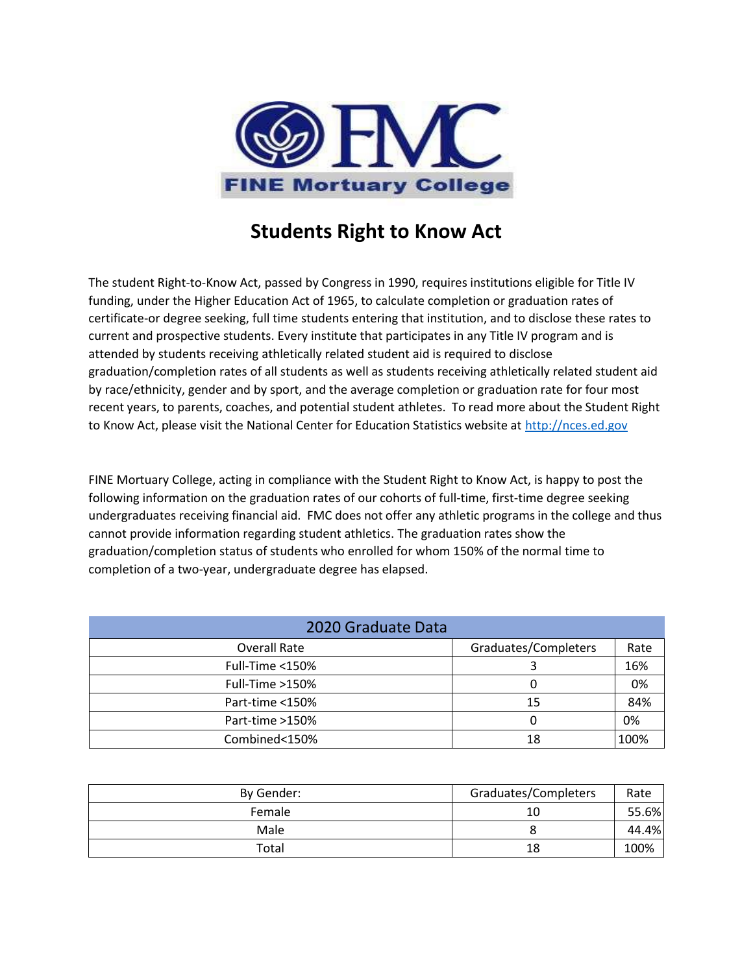

## **Students Right to Know Act**

The student Right-to-Know Act, passed by Congress in 1990, requires institutions eligible for Title IV funding, under the Higher Education Act of 1965, to calculate completion or graduation rates of certificate-or degree seeking, full time students entering that institution, and to disclose these rates to current and prospective students. Every institute that participates in any Title IV program and is attended by students receiving athletically related student aid is required to disclose graduation/completion rates of all students as well as students receiving athletically related student aid by race/ethnicity, gender and by sport, and the average completion or graduation rate for four most recent years, to parents, coaches, and potential student athletes. To read more about the Student Right to Know Act, please visit the National Center for Education Statistics website at [http://nces.ed.gov](http://nces.ed.gov/)

FINE Mortuary College, acting in compliance with the Student Right to Know Act, is happy to post the following information on the graduation rates of our cohorts of full-time, first-time degree seeking undergraduates receiving financial aid. FMC does not offer any athletic programs in the college and thus cannot provide information regarding student athletics. The graduation rates show the graduation/completion status of students who enrolled for whom 150% of the normal time to completion of a two-year, undergraduate degree has elapsed.

| 2020 Graduate Data |                      |      |
|--------------------|----------------------|------|
| Overall Rate       | Graduates/Completers | Rate |
| Full-Time $<$ 150% |                      | 16%  |
| Full-Time $>150\%$ |                      | 0%   |
| Part-time <150%    | 15                   | 84%  |
| Part-time >150%    |                      | 0%   |
| Combined<150%      | 18                   | 100% |

| By Gender: | Graduates/Completers | Rate  |
|------------|----------------------|-------|
| Female     | 10                   | 55.6% |
| Male       |                      | 44.4% |
| Total      | 18                   | 100%  |